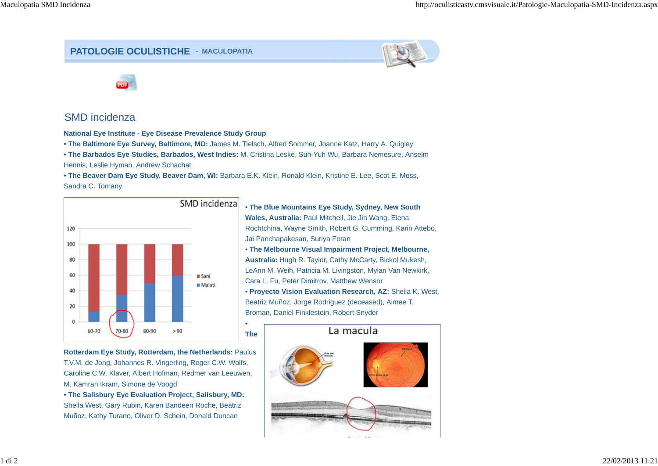## **PATOLOGIE OCULISTICHE - MACULOPATIA**





## SMD incidenza

**National Eye Institute - Eye Disease Prevalence Study Group**

• **The Baltimore Eye Survey, Baltimore, MD:** James M. Tielsch, Alfred Sommer, Joanne Katz, Harry A. Quigley

• **The Barbados Eye Studies, Barbados, West Indies:** M. Cristina Leske, Suh-Yuh Wu, Barbara Nemesure, Anselm Hennis, Leslie Hyman, Andrew Schachat

• **The Beaver Dam Eye Study, Beaver Dam, WI:** Barbara E.K. Klein, Ronald Klein, Kristine E. Lee, Scot E. Moss, Sandra C. Tomany

> •**The**



**Rotterdam Eye Study, Rotterdam, the Netherlands:** Paulus T.V.M. de Jong, Johannes R. Vingerling, Roger C.W. Wolfs, Caroline C.W. Klaver, Albert Hofman, Redmer van Leeuwen, M. Kamran Ikram, Simone de Voogd

• **The Salisbury Eye Evaluation Project, Salisbury, MD:** Sheila West, Gary Rubin, Karen Bandeen Roche, Beatriz Muñoz, Kathy Turano, Oliver D. Schein, Donald Duncan

• **The Blue Mountains Eye Study, Sydney, New South Wales, Australia:** Paul Mitchell, Jie Jin Wang, Elena Rochtchina, Wayne Smith, Robert G. Cumming, Karin Attebo, Jai Panchapakesan, Suriya Foran

• **The Melbourne Visual Impairment Project, Melbourne, Australia:** Hugh R. Taylor, Cathy McCarty, Bickol Mukesh, LeAnn M. Weih, Patricia M. Livingston, Mylan Van Newkirk, Cara L. Fu, Peter Dimitrov, Matthew Wensor • **Proyecto Vision Evaluation Research, AZ:** Sheila K. West, Beatriz Muñoz, Jorge Rodriguez (deceased), Aimee T. Broman, Daniel Finklestein, Robert Snyder